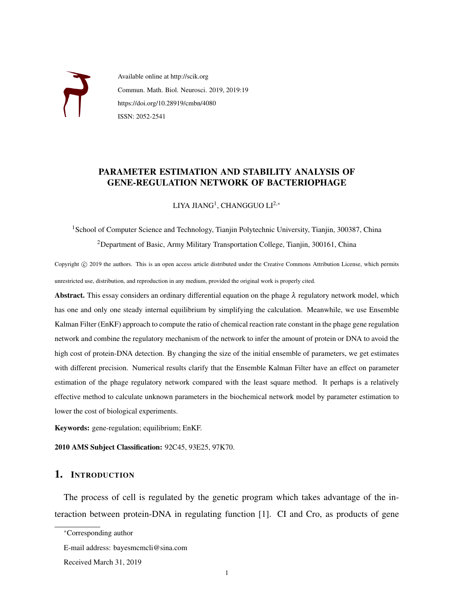

Available online at http://scik.org Commun. Math. Biol. Neurosci. 2019, 2019:19 https://doi.org/10.28919/cmbn/4080 ISSN: 2052-2541

# PARAMETER ESTIMATION AND STABILITY ANALYSIS OF GENE-REGULATION NETWORK OF BACTERIOPHAGE

LIYA JIAN $\mathrm{G}^1$ , CHANGGUO LI $^{2,*}$ 

<sup>1</sup>School of Computer Science and Technology, Tianjin Polytechnic University, Tianjin, 300387, China <sup>2</sup>Department of Basic, Army Military Transportation College, Tianjin, 300161, China

Copyright ( $\hat{c}$ ) 2019 the authors. This is an open access article distributed under the Creative Commons Attribution License, which permits unrestricted use, distribution, and reproduction in any medium, provided the original work is properly cited.

Abstract. This essay considers an ordinary differential equation on the phage  $\lambda$  regulatory network model, which has one and only one steady internal equilibrium by simplifying the calculation. Meanwhile, we use Ensemble Kalman Filter (EnKF) approach to compute the ratio of chemical reaction rate constant in the phage gene regulation network and combine the regulatory mechanism of the network to infer the amount of protein or DNA to avoid the high cost of protein-DNA detection. By changing the size of the initial ensemble of parameters, we get estimates with different precision. Numerical results clarify that the Ensemble Kalman Filter have an effect on parameter estimation of the phage regulatory network compared with the least square method. It perhaps is a relatively effective method to calculate unknown parameters in the biochemical network model by parameter estimation to lower the cost of biological experiments.

Keywords: gene-regulation; equilibrium; EnKF.

2010 AMS Subject Classification: 92C45, 93E25, 97K70.

### 1. INTRODUCTION

The process of cell is regulated by the genetic program which takes advantage of the interaction between protein-DNA in regulating function [1]. CI and Cro, as products of gene

<sup>∗</sup>Corresponding author

E-mail address: bayesmcmcli@sina.com

Received March 31, 2019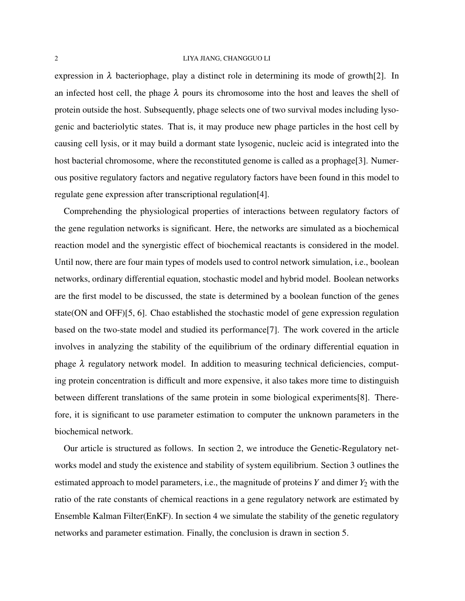expression in  $\lambda$  bacteriophage, play a distinct role in determining its mode of growth [2]. In an infected host cell, the phage  $\lambda$  pours its chromosome into the host and leaves the shell of protein outside the host. Subsequently, phage selects one of two survival modes including lysogenic and bacteriolytic states. That is, it may produce new phage particles in the host cell by causing cell lysis, or it may build a dormant state lysogenic, nucleic acid is integrated into the host bacterial chromosome, where the reconstituted genome is called as a prophage[3]. Numerous positive regulatory factors and negative regulatory factors have been found in this model to regulate gene expression after transcriptional regulation[4].

Comprehending the physiological properties of interactions between regulatory factors of the gene regulation networks is significant. Here, the networks are simulated as a biochemical reaction model and the synergistic effect of biochemical reactants is considered in the model. Until now, there are four main types of models used to control network simulation, i.e., boolean networks, ordinary differential equation, stochastic model and hybrid model. Boolean networks are the first model to be discussed, the state is determined by a boolean function of the genes state(ON and OFF)[5, 6]. Chao established the stochastic model of gene expression regulation based on the two-state model and studied its performance[7]. The work covered in the article involves in analyzing the stability of the equilibrium of the ordinary differential equation in phage  $\lambda$  regulatory network model. In addition to measuring technical deficiencies, computing protein concentration is difficult and more expensive, it also takes more time to distinguish between different translations of the same protein in some biological experiments[8]. Therefore, it is significant to use parameter estimation to computer the unknown parameters in the biochemical network.

Our article is structured as follows. In section 2, we introduce the Genetic-Regulatory networks model and study the existence and stability of system equilibrium. Section 3 outlines the estimated approach to model parameters, i.e., the magnitude of proteins  $Y$  and dimer  $Y_2$  with the ratio of the rate constants of chemical reactions in a gene regulatory network are estimated by Ensemble Kalman Filter(EnKF). In section 4 we simulate the stability of the genetic regulatory networks and parameter estimation. Finally, the conclusion is drawn in section 5.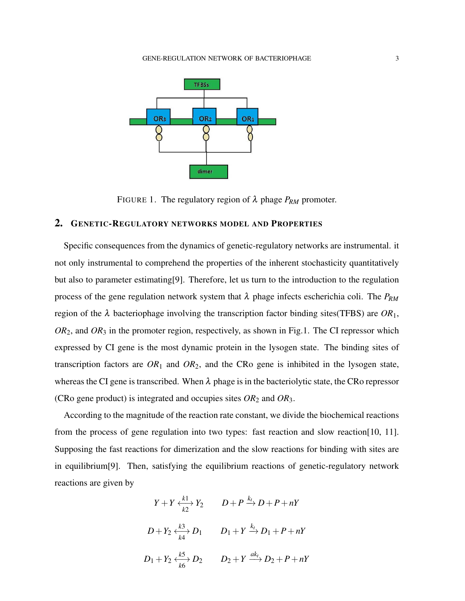

FIGURE 1. The regulatory region of  $\lambda$  phage  $P_{RM}$  promoter.

## 2. GENETIC-REGULATORY NETWORKS MODEL AND PROPERTIES

Specific consequences from the dynamics of genetic-regulatory networks are instrumental. it not only instrumental to comprehend the properties of the inherent stochasticity quantitatively but also to parameter estimating[9]. Therefore, let us turn to the introduction to the regulation process of the gene regulation network system that  $\lambda$  phage infects escherichia coli. The  $P_{RM}$ region of the λ bacteriophage involving the transcription factor binding sites(TFBS) are *OR*1, *OR*2, and *OR*<sup>3</sup> in the promoter region, respectively, as shown in Fig.1. The CI repressor which expressed by CI gene is the most dynamic protein in the lysogen state. The binding sites of transcription factors are  $OR_1$  and  $OR_2$ , and the CRo gene is inhibited in the lysogen state, whereas the CI gene is transcribed. When  $\lambda$  phage is in the bacteriolytic state, the CRo repressor (CRo gene product) is integrated and occupies sites *OR*<sup>2</sup> and *OR*3.

According to the magnitude of the reaction rate constant, we divide the biochemical reactions from the process of gene regulation into two types: fast reaction and slow reaction[10, 11]. Supposing the fast reactions for dimerization and the slow reactions for binding with sites are in equilibrium[9]. Then, satisfying the equilibrium reactions of genetic-regulatory network reactions are given by

$$
Y + Y \xleftarrow{k1} Y_2
$$

$$
D + P \xrightarrow{k_1} D + P + nY
$$

$$
D + Y_2 \xleftarrow{k3} D_1
$$

$$
D_1 + Y \xrightarrow{k_1} D_1 + P + nY
$$

$$
D_1 + Y_2 \xleftarrow{k5} D_2
$$

$$
D_2 + Y \xrightarrow{ak_1} D_2 + P + nY
$$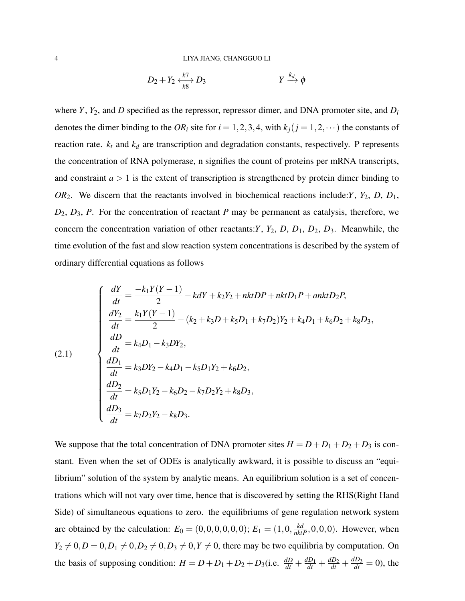$$
D_2 + Y_2 \xleftrightarrow{\frac{k7}{k8}} D_3 \qquad \qquad Y \xrightarrow{k_d} \phi
$$

where *Y*, *Y*2, and *D* specified as the repressor, repressor dimer, and DNA promoter site, and *D<sup>i</sup>* denotes the dimer binding to the  $OR_i$  site for  $i = 1, 2, 3, 4$ , with  $k_j$  ( $j = 1, 2, \dots$ ) the constants of reaction rate.  $k_t$  and  $k_d$  are transcription and degradation constants, respectively. P represents the concentration of RNA polymerase, n signifies the count of proteins per mRNA transcripts, and constraint  $a > 1$  is the extent of transcription is strengthened by protein dimer binding to *OR*2. We discern that the reactants involved in biochemical reactions include:*Y*, *Y*2, *D*, *D*1, *D*2, *D*3, *P*. For the concentration of reactant *P* may be permanent as catalysis, therefore, we concern the concentration variation of other reactants:*Y*, *Y*2, *D*, *D*1, *D*2, *D*3. Meanwhile, the time evolution of the fast and slow reaction system concentrations is described by the system of ordinary differential equations as follows

(2.1)  
\n
$$
\begin{cases}\n\frac{dY}{dt} = \frac{-k_1Y(Y-1)}{2} - kdY + k_2Y_2 + nktDP + nktD_1P + anktD_2P, \\
\frac{dY_2}{dt} = \frac{k_1Y(Y-1)}{2} - (k_2 + k_3D + k_5D_1 + k_7D_2)Y_2 + k_4D_1 + k_6D_2 + k_8D_3, \\
\frac{dD}{dt} = k_4D_1 - k_3DY_2, \\
\frac{dD_1}{dt} = k_3DY_2 - k_4D_1 - k_5D_1Y_2 + k_6D_2, \\
\frac{dD_2}{dt} = k_5D_1Y_2 - k_6D_2 - k_7D_2Y_2 + k_8D_3, \\
\frac{dD_3}{dt} = k_7D_2Y_2 - k_8D_3.\n\end{cases}
$$

We suppose that the total concentration of DNA promoter sites  $H = D + D_1 + D_2 + D_3$  is constant. Even when the set of ODEs is analytically awkward, it is possible to discuss an "equilibrium" solution of the system by analytic means. An equilibrium solution is a set of concentrations which will not vary over time, hence that is discovered by setting the RHS(Right Hand Side) of simultaneous equations to zero. the equilibriums of gene regulation network system are obtained by the calculation:  $E_0 = (0, 0, 0, 0, 0, 0)$ ;  $E_1 = (1, 0, \frac{kd}{nktP}, 0, 0, 0)$ . However, when  $Y_2 \neq 0, D = 0, D_1 \neq 0, D_2 \neq 0, D_3 \neq 0, Y \neq 0$ , there may be two equilibria by computation. On the basis of supposing condition:  $H = D + D_1 + D_2 + D_3$  (i.e.  $\frac{dD}{dt} + \frac{dD_1}{dt} + \frac{dD_2}{dt} + \frac{dD_3}{dt} = 0$ ), the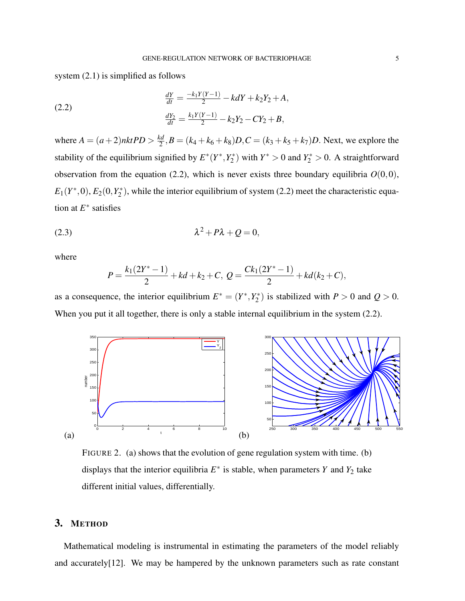system  $(2.1)$  is simplified as follows

(2.2) 
$$
\frac{dY}{dt} = \frac{-k_1 Y (Y-1)}{2} - k dY + k_2 Y_2 + A,
$$

$$
\frac{dY_2}{dt} = \frac{k_1 Y (Y-1)}{2} - k_2 Y_2 - C Y_2 + B,
$$

where  $A = (a+2)nktPD > \frac{kd}{2}$  $\frac{d}{2}$ ,  $B = (k_4 + k_6 + k_8)D$ ,  $C = (k_3 + k_5 + k_7)D$ . Next, we explore the stability of the equilibrium signified by  $E^*(Y^*, Y^*_{Z})$  $(Y_2^*)$  with  $Y^* > 0$  and  $Y_2^* > 0$ . A straightforward observation from the equation (2.2), which is never exists three boundary equilibria  $O(0,0)$ ,  $E_1(Y^*,0), E_2(0,Y_2^*)$  $\chi^*$ ), while the interior equilibrium of system (2.2) meet the characteristic equation at *E* ∗ satisfies

$$
\lambda^2 + P\lambda + Q = 0,
$$

where

$$
P = \frac{k_1(2Y^*-1)}{2} + kd + k_2 + C, \ Q = \frac{Ck_1(2Y^*-1)}{2} + kd(k_2+C),
$$

as a consequence, the interior equilibrium  $E^* = (Y^*, Y^*_{\sigma})$  $\binom{2}{2}$  is stabilized with  $P > 0$  and  $Q > 0$ . When you put it all together, there is only a stable internal equilibrium in the system (2.2).



FIGURE 2. (a) shows that the evolution of gene regulation system with time. (b) displays that the interior equilibria  $E^*$  is stable, when parameters *Y* and *Y*<sub>2</sub> take different initial values, differentially.

## 3. METHOD

Mathematical modeling is instrumental in estimating the parameters of the model reliably and accurately[12]. We may be hampered by the unknown parameters such as rate constant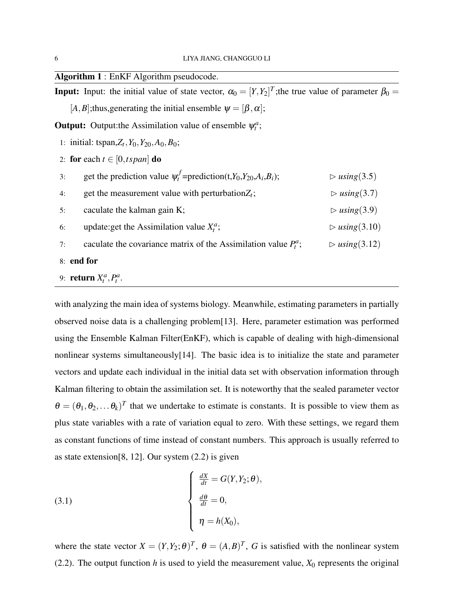| <b>Algorithm 1:</b> EnKF Algorithm pseudocode.                                                                             |                               |
|----------------------------------------------------------------------------------------------------------------------------|-------------------------------|
| <b>Input:</b> Input: the initial value of state vector, $\alpha_0 = [Y, Y_2]^T$ ; the true value of parameter $\beta_0 =$  |                               |
| [A, B]; thus, generating the initial ensemble $\psi = [\beta, \alpha]$ ;                                                   |                               |
| <b>Output:</b> Output: the Assimilation value of ensemble $\psi_i^a$ ;                                                     |                               |
| 1: initial: tspan, $Z_t$ , $Y_0$ , $Y_{20}$ , $A_0$ , $B_0$ ;                                                              |                               |
| 2: for each $t \in [0, tspan]$ do                                                                                          |                               |
| get the prediction value $\psi_t^f$ =prediction(t,Y <sub>0</sub> ,Y <sub>20</sub> ,A <sub>i</sub> ,B <sub>i</sub> );<br>3: | $\triangleright$ using (3.5)  |
| get the measurement value with perturbation $Z_t$ ;<br>4:                                                                  | $\triangleright$ using (3.7)  |
| caculate the kalman gain K;<br>5:                                                                                          | $\triangleright$ using (3.9)  |
| update: get the Assimilation value $X_t^a$ ;<br>6:                                                                         | $\triangleright$ using (3.10) |
| caculate the covariance matrix of the Assimilation value $P_t^a$ ;<br>7:                                                   | $\triangleright$ using (3.12) |
| 8: end for                                                                                                                 |                               |
| 9: return $X_t^a$ , $P_t^a$ .                                                                                              |                               |

with analyzing the main idea of systems biology. Meanwhile, estimating parameters in partially observed noise data is a challenging problem[13]. Here, parameter estimation was performed using the Ensemble Kalman Filter(EnKF), which is capable of dealing with high-dimensional nonlinear systems simultaneously[14]. The basic idea is to initialize the state and parameter vectors and update each individual in the initial data set with observation information through Kalman filtering to obtain the assimilation set. It is noteworthy that the sealed parameter vector  $\theta = (\theta_1, \theta_2, \dots \theta_k)^T$  that we undertake to estimate is constants. It is possible to view them as plus state variables with a rate of variation equal to zero. With these settings, we regard them as constant functions of time instead of constant numbers. This approach is usually referred to as state extension[8, 12]. Our system (2.2) is given

(3.1) 
$$
\begin{cases} \frac{dX}{dt} = G(Y, Y_2; \theta), \\ \frac{d\theta}{dt} = 0, \\ \eta = h(X_0), \end{cases}
$$

where the state vector  $X = (Y, Y_2; \theta)^T$ ,  $\theta = (A, B)^T$ , *G* is satisfied with the nonlinear system (2.2). The output function  $h$  is used to yield the measurement value,  $X_0$  represents the original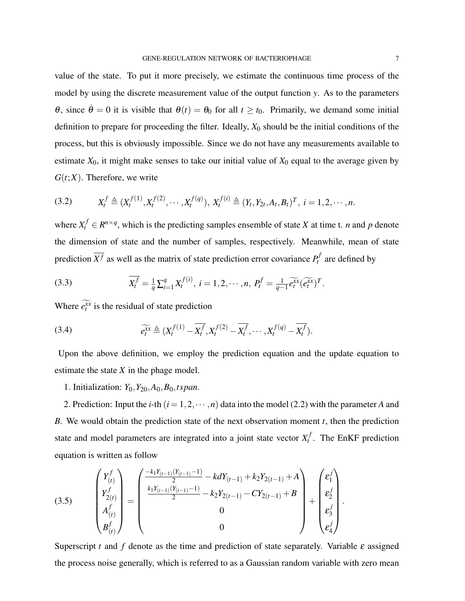value of the state. To put it more precisely, we estimate the continuous time process of the model by using the discrete measurement value of the output function *y*. As to the parameters θ, since  $\dot{\theta}$  = 0 it is visible that  $θ(t) = θ_0$  for all  $t ≥ t_0$ . Primarily, we demand some initial definition to prepare for proceeding the filter. Ideally,  $X_0$  should be the initial conditions of the process, but this is obviously impossible. Since we do not have any measurements available to estimate  $X_0$ , it might make senses to take our initial value of  $X_0$  equal to the average given by  $G(t;X)$ . Therefore, we write

$$
(3.2) \tX_t^f \triangleq (X_t^{f(1)}, X_t^{f(2)}, \cdots, X_t^{f(q)}), X_t^{f(i)} \triangleq (Y_t, Y_{2t}, A_t, B_t)^T, i = 1, 2, \cdots, n.
$$

where  $X_t^f \in R^{n \times q}$ , which is the predicting samples ensemble of state *X* at time t. *n* and *p* denote the dimension of state and the number of samples, respectively. Meanwhile, mean of state prediction  $\overline{X^f}$  as well as the matrix of state prediction error covariance  $P_t^f$  $p_t^j$  are defined by

(3.3) 
$$
\overline{X_t^f} = \frac{1}{q} \sum_{i=1}^q X_t^{f(i)}, \ i = 1, 2, \cdots, n, \ P_t^f = \frac{1}{q-1} \widetilde{e_t^{\mathfrak{X} \mathfrak{X}}} (\widetilde{e_t^{\mathfrak{X} \mathfrak{X}}})^T.
$$

Where  $e_t^{\bar{x}x}$  is the residual of state prediction

(3.4) 
$$
\widetilde{e_t^x} \triangleq (X_t^{f(1)} - \overline{X_t^f}, X_t^{f(2)} - \overline{X_t^f}, \cdots, X_t^{f(q)} - \overline{X_t^f}).
$$

Upon the above definition, we employ the prediction equation and the update equation to estimate the state *X* in the phage model.

1. Initialization: *Y*0,*Y*20,*A*0,*B*0,*tspan*.

2. Prediction: Input the *i*-th  $(i = 1, 2, \dots, n)$  data into the model (2.2) with the parameter *A* and *B*. We would obtain the prediction state of the next observation moment *t*, then the prediction state and model parameters are integrated into a joint state vector  $X_t^f$  $t'$ . The EnKF prediction equation is written as follow

$$
(3.5) \qquad \begin{pmatrix} Y_f^f \\ Y_{2(t)}^f \\ A_{(t)}^f \\ B_{(t)}^f \end{pmatrix} = \begin{pmatrix} \frac{-k_1 Y_{(t-1)} (Y_{(t-1)} - 1)}{2} - k d Y_{(t-1)} + k_2 Y_{2(t-1)} + A \\ \frac{k_1 Y_{(t-1)} (Y_{(t-1)} - 1)}{2} - k_2 Y_{2(t-1)} - C Y_{2(t-1)} + B \\ 0 \\ 0 \end{pmatrix} + \begin{pmatrix} \varepsilon_1^j \\ \varepsilon_2^j \\ \varepsilon_3^j \\ \varepsilon_4^j \end{pmatrix}.
$$

Superscript *t* and *f* denote as the time and prediction of state separately. Variable  $\varepsilon$  assigned the process noise generally, which is referred to as a Gaussian random variable with zero mean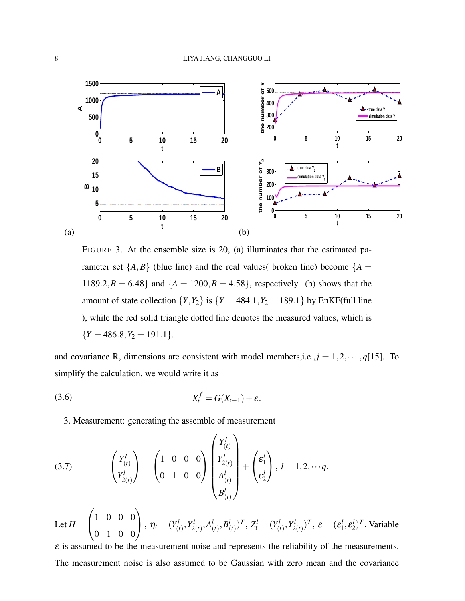

FIGURE 3. At the ensemble size is 20, (a) illuminates that the estimated parameter set  $\{A,B\}$  (blue line) and the real values( broken line) become  $\{A =$ 1189.2, $B = 6.48$ } and  $\{A = 1200, B = 4.58\}$ , respectively. (b) shows that the amount of state collection  $\{Y, Y_2\}$  is  $\{Y = 484.1, Y_2 = 189.1\}$  by EnKF(full line ), while the red solid triangle dotted line denotes the measured values, which is  ${Y = 486.8, Y_2 = 191.1}.$ 

and covariance R, dimensions are consistent with model members, *i.e.*,  $j = 1, 2, \dots, q[15]$ . To simplify the calculation, we would write it as

$$
(3.6) \t\t X_t^f = G(X_{t-1}) + \varepsilon.
$$

3. Measurement: generating the assemble of measurement

(3.7) 
$$
\begin{pmatrix} Y_{(t)}^l \\ Y_{2(t)}^l \end{pmatrix} = \begin{pmatrix} 1 & 0 & 0 & 0 \\ 0 & 1 & 0 & 0 \end{pmatrix} \begin{pmatrix} Y_{(t)}^l \\ Y_{2(t)}^l \\ A_{(t)}^l \\ B_{(t)}^l \end{pmatrix} + \begin{pmatrix} \varepsilon_1^l \\ \varepsilon_2^l \end{pmatrix}, l = 1, 2, \cdots q.
$$

Let  $H =$  $\sqrt{ }$  $\mathcal{L}$ 1 0 0 0 0 1 0 0  $\setminus$  $\eta_t = (Y^l_{(i)})$  $\binom{l}{t}$ ,  $Y_2^l$  $a_{2(t)}^l, A_{0}^l$  $_{\left( t\right) }^{l},B_{\left( t\right) }^{l}$  $\binom{l}{t}^T$ ,  $Z_t^l = (Y_{(i)}^l)$  $\binom{l}{t}$ ,  $Y_2^l$  $(\mathcal{L}^l_{2(t)})^T,\ \boldsymbol{\mathcal{E}}=(\boldsymbol{\mathcal{E}}^l_1)$  $\epsilon_1^l, \epsilon_2^l$  $^{l}_{2}$ <sup>T</sup>. Variable

 $\varepsilon$  is assumed to be the measurement noise and represents the reliability of the measurements. The measurement noise is also assumed to be Gaussian with zero mean and the covariance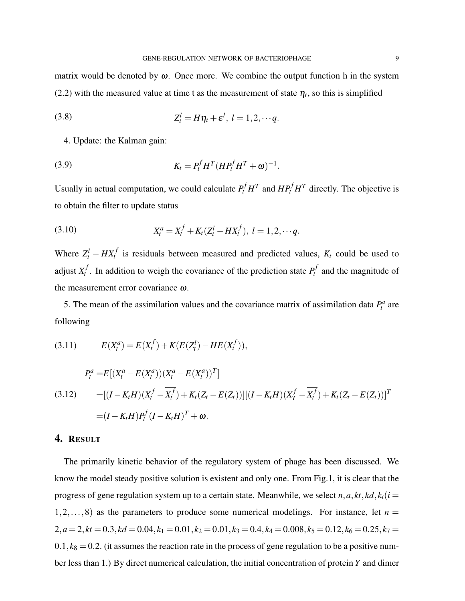matrix would be denoted by  $\omega$ . Once more. We combine the output function h in the system (2.2) with the measured value at time t as the measurement of state  $\eta_t$ , so this is simplified

$$
(3.8) \t Z_t^l = H\eta_t + \varepsilon^l, \ l = 1, 2, \cdots q.
$$

4. Update: the Kalman gain:

(3.9) 
$$
K_t = P_t^f H^T (H P_t^f H^T + \omega)^{-1}.
$$

Usually in actual computation, we could calculate  $P_t^f H^T$  and  $H P_t^f H^T$  directly. The objective is to obtain the filter to update status

(3.10) 
$$
X_t^a = X_t^f + K_t (Z_t^l - H X_t^f), \ l = 1, 2, \cdots q.
$$

Where  $Z_t^l - H X_t^f$  is residuals between measured and predicted values,  $K_t$  could be used to adjust *X f*  $t_t$ . In addition to weigh the covariance of the prediction state  $P_t^f$  $p_t^j$  and the magnitude of the measurement error covariance ω.

5. The mean of the assimilation values and the covariance matrix of assimilation data  $P_t^a$  are following

$$
(3.11) \t E(X_t^a) = E(X_t^f) + K(E(Z_t^l) - HE(X_t^f)),
$$

$$
P_t^a = E[(X_t^a - E(X_t^a))(X_t^a - E(X_t^a))^T]
$$
  
(3.12) 
$$
= [(I - K_t H)(X_t^f - \overline{X_t^f}) + K_t(Z_t - E(Z_t))][(I - K_t H)(X_T^f - \overline{X_t^f}) + K_t(Z_t - E(Z_t))]^T
$$

$$
= (I - K_t H)P_t^f(I - K_t H)^T + \omega.
$$

## 4. RESULT

The primarily kinetic behavior of the regulatory system of phage has been discussed. We know the model steady positive solution is existent and only one. From Fig.1, it is clear that the progress of gene regulation system up to a certain state. Meanwhile, we select  $n, a, kt, kd, k<sub>i</sub>(i =$  $1, 2, \ldots, 8$  as the parameters to produce some numerical modelings. For instance, let  $n =$  $2, a = 2, kt = 0.3, kd = 0.04, k<sub>1</sub> = 0.01, k<sub>2</sub> = 0.01, k<sub>3</sub> = 0.4, k<sub>4</sub> = 0.008, k<sub>5</sub> = 0.12, k<sub>6</sub> = 0.25, k<sub>7</sub> = 0.008, k<sub>9</sub> = 0.008, k<sub>1</sub> = 0.008, k<sub>1</sub> = 0.008, k<sub>2</sub> = 0.008, k<sub>3</sub> = 0.008, k<sub>4</sub> = 0.$  $0.1, k_8 = 0.2$ . (it assumes the reaction rate in the process of gene regulation to be a positive number less than 1.) By direct numerical calculation, the initial concentration of protein *Y* and dimer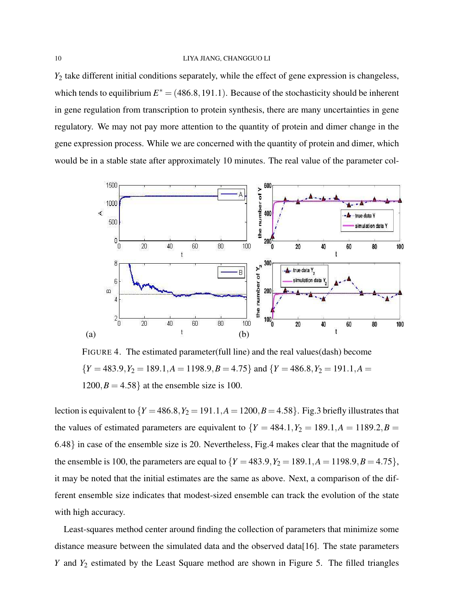*Y*<sup>2</sup> take different initial conditions separately, while the effect of gene expression is changeless, which tends to equilibrium  $E^* = (486.8, 191.1)$ . Because of the stochasticity should be inherent in gene regulation from transcription to protein synthesis, there are many uncertainties in gene regulatory. We may not pay more attention to the quantity of protein and dimer change in the gene expression process. While we are concerned with the quantity of protein and dimer, which would be in a stable state after approximately 10 minutes. The real value of the parameter col-



FIGURE 4. The estimated parameter(full line) and the real values(dash) become  ${Y = 483.9, Y_2 = 189.1, A = 1198.9, B = 4.75}$  and  ${Y = 486.8, Y_2 = 191.1, A = 1198.9}$  $1200, B = 4.58$  at the ensemble size is 100.

lection is equivalent to  $\{Y = 486.8, Y_2 = 191.1, A = 1200, B = 4.58\}$ . Fig.3 briefly illustrates that the values of estimated parameters are equivalent to  ${Y = 484.1, Y_2 = 189.1, A = 1189.2, B}$ 6.48} in case of the ensemble size is 20. Nevertheless, Fig.4 makes clear that the magnitude of the ensemble is 100, the parameters are equal to  $\{Y = 483.9, Y_2 = 189.1, A = 1198.9, B = 4.75\}$ , it may be noted that the initial estimates are the same as above. Next, a comparison of the different ensemble size indicates that modest-sized ensemble can track the evolution of the state with high accuracy.

Least-squares method center around finding the collection of parameters that minimize some distance measure between the simulated data and the observed data[16]. The state parameters *Y* and *Y*<sub>2</sub> estimated by the Least Square method are shown in Figure 5. The filled triangles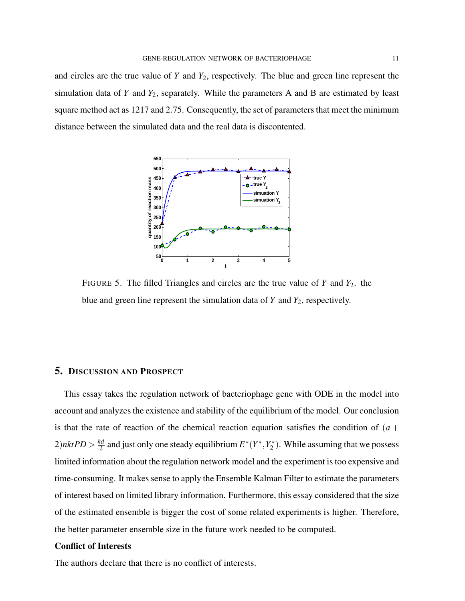and circles are the true value of *Y* and *Y*2, respectively. The blue and green line represent the simulation data of *Y* and *Y*2, separately. While the parameters A and B are estimated by least square method act as 1217 and 2.75. Consequently, the set of parameters that meet the minimum distance between the simulated data and the real data is discontented.



FIGURE 5. The filled Triangles and circles are the true value of *Y* and *Y*2. the blue and green line represent the simulation data of  $Y$  and  $Y_2$ , respectively.

## 5. DISCUSSION AND PROSPECT

This essay takes the regulation network of bacteriophage gene with ODE in the model into account and analyzes the existence and stability of the equilibrium of the model. Our conclusion is that the rate of reaction of the chemical reaction equation satisfies the condition of  $(a +$  $2)$ *nktPD* >  $\frac{kd}{2}$  $\frac{xd}{2}$  and just only one steady equilibrium  $E^*(Y^*,Y^*_2)$  $\binom{1}{2}$ . While assuming that we possess limited information about the regulation network model and the experiment is too expensive and time-consuming. It makes sense to apply the Ensemble Kalman Filter to estimate the parameters of interest based on limited library information. Furthermore, this essay considered that the size of the estimated ensemble is bigger the cost of some related experiments is higher. Therefore, the better parameter ensemble size in the future work needed to be computed.

### Conflict of Interests

The authors declare that there is no conflict of interests.